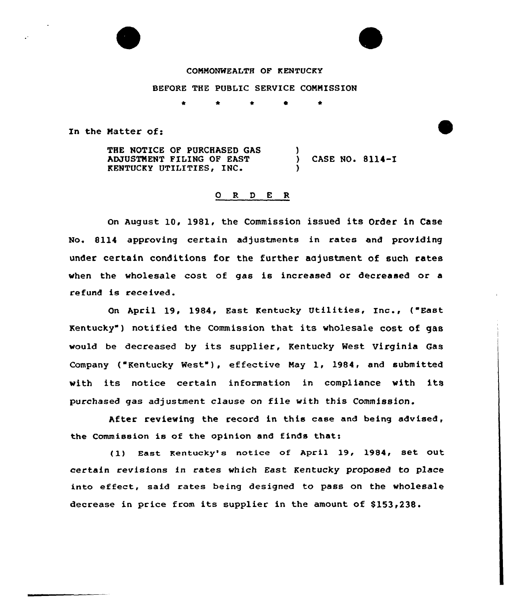## COMMONWEALTH OF KENTUCKY

## BEFORE THE PUBLIC SERVICE COMMISSION

\* 0

In the Natter of:

THE NOTICE OF PURCHASED GAS ADJUSTMENT FILING OF EAST ADJUSTMENT FILING OF EAST (ASE NO. 8114-1<br>
KENTUCKY UTILITIES, INC. (a) )

## 0 R <sup>D</sup> E R

On August 10, 1981, the Commission issued its Order in Case No. 8114 approving certain adjustments in rates and providing under certain conditions for the further aajustment of such rates when the wholesale cost of gas is increased or decreased or a refund is received.

On April 19, 1984, East Kentucky Utilities, Inc., ("East Kentucky" ) notified the Commission that its wholesale cost of gas would be decreased by its supplier, Kentucky West Virginia Gas Company ("Kentucky West"), effective May 1, 1984, and submitted with its notice certain information in compliance with its purchased gas adjustment clause on file with this Commission.

After reviewing the record in this case and being advised, the Commission is of the opinion and finds that:

(1) East Kentucky's notice of April 19, 1984, set out certain revisions in rates which East Kentucky proposed to place into effeet, said rates being designed to pass on the wholesale decrease in price from its supplier in the amount of \$153,238.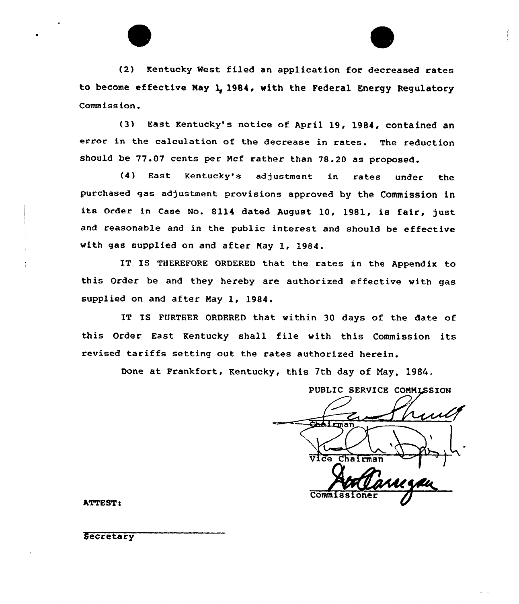

(3) East Kentucky's notice of April 19, 1984, contained an error in the calculation of the decrease in rates. The reduction should be 77.07 cents per Mcf rather than 78.20 as proposed.

(4) East Kentucky's adjustment in rates under the purchased gas adjustment provisions approved by the Commission in its order in Case No. <sup>8114</sup> dated August 10, 1981, is fair, just and reasonable and in the public interest and should be effective with gas supplied on and after May 1, 1984.

IT IS THEREFORE ORDERED that the rates in the Appendix to this Order be and they hereby are authorized effective with gas supplied on and after May 1, 1984.

IT IS FURTHER ORDERED that within 30 days of the date of this Order East Kentucky shall file with this Commission its revised tariffs setting out the rates authorized herein.

Done at Frankfort, Kentucky, this 7th day of May, 1984.

PUBLIC SERVICE COMMISSION **Chairman** Chairman Commiss

ATTEST:

**Secretary**